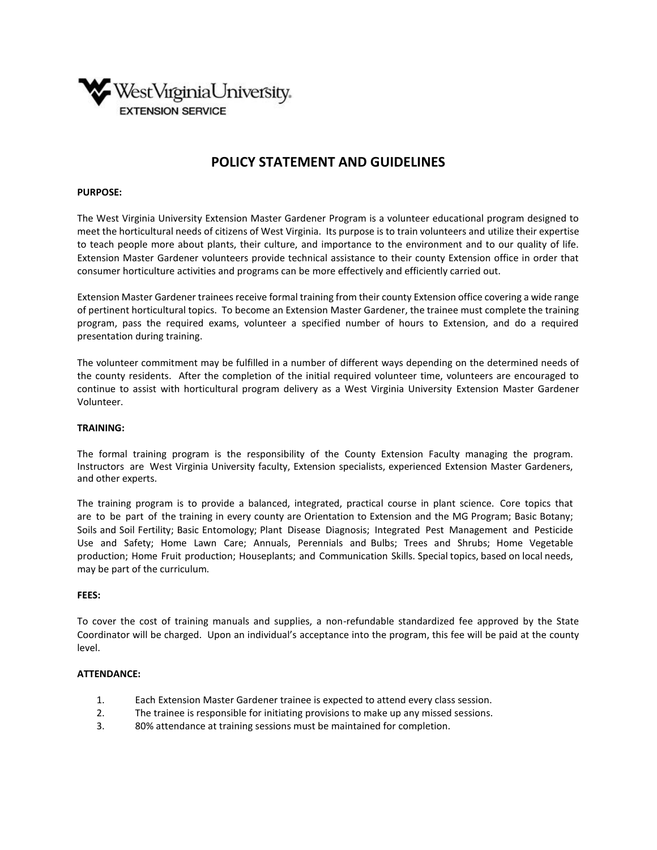

# **POLICY STATEMENT AND GUIDELINES**

### **PURPOSE:**

The West Virginia University Extension Master Gardener Program is a volunteer educational program designed to meet the horticultural needs of citizens of West Virginia. Its purpose is to train volunteers and utilize their expertise to teach people more about plants, their culture, and importance to the environment and to our quality of life. Extension Master Gardener volunteers provide technical assistance to their county Extension office in order that consumer horticulture activities and programs can be more effectively and efficiently carried out.

Extension Master Gardener trainees receive formal training from their county Extension office covering a wide range of pertinent horticultural topics. To become an Extension Master Gardener, the trainee must complete the training program, pass the required exams, volunteer a specified number of hours to Extension, and do a required presentation during training.

The volunteer commitment may be fulfilled in a number of different ways depending on the determined needs of the county residents. After the completion of the initial required volunteer time, volunteers are encouraged to continue to assist with horticultural program delivery as a West Virginia University Extension Master Gardener Volunteer.

#### **TRAINING:**

The formal training program is the responsibility of the County Extension Faculty managing the program. Instructors are West Virginia University faculty, Extension specialists, experienced Extension Master Gardeners, and other experts.

The training program is to provide a balanced, integrated, practical course in plant science. Core topics that are to be part of the training in every county are Orientation to Extension and the MG Program; Basic Botany; Soils and Soil Fertility; Basic Entomology; Plant Disease Diagnosis; Integrated Pest Management and Pesticide Use and Safety; Home Lawn Care; Annuals, Perennials and Bulbs; Trees and Shrubs; Home Vegetable production; Home Fruit production; Houseplants; and Communication Skills. Special topics, based on local needs, may be part of the curriculum.

### **FEES:**

To cover the cost of training manuals and supplies, a non-refundable standardized fee approved by the State Coordinator will be charged. Upon an individual's acceptance into the program, this fee will be paid at the county level.

#### **ATTENDANCE:**

- 1. Each Extension Master Gardener trainee is expected to attend every class session.
- 2. The trainee is responsible for initiating provisions to make up any missed sessions.
- 3. 80% attendance at training sessions must be maintained for completion.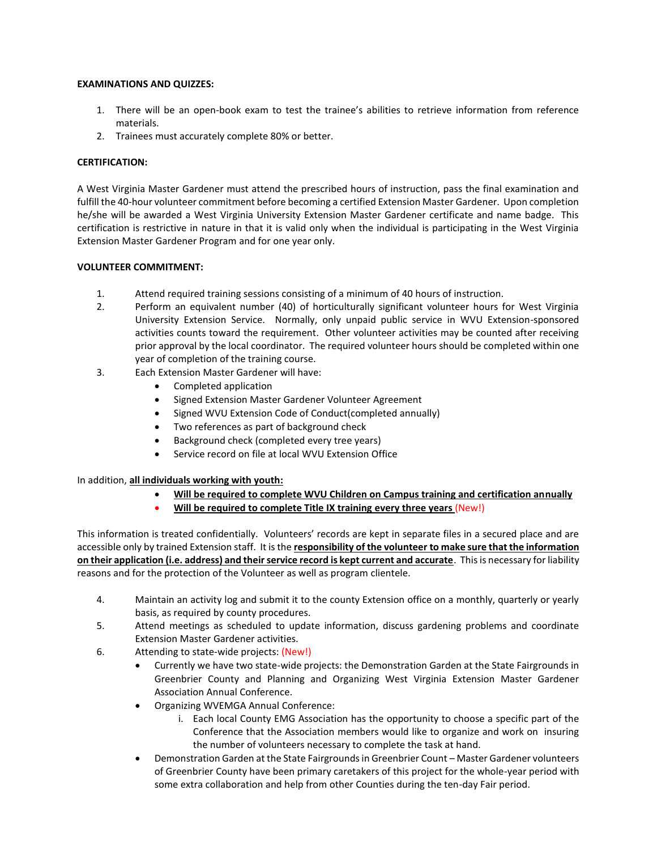# **EXAMINATIONS AND QUIZZES:**

- 1. There will be an open-book exam to test the trainee's abilities to retrieve information from reference materials.
- 2. Trainees must accurately complete 80% or better.

# **CERTIFICATION:**

A West Virginia Master Gardener must attend the prescribed hours of instruction, pass the final examination and fulfill the 40-hour volunteer commitment before becoming a certified Extension Master Gardener. Upon completion he/she will be awarded a West Virginia University Extension Master Gardener certificate and name badge. This certification is restrictive in nature in that it is valid only when the individual is participating in the West Virginia Extension Master Gardener Program and for one year only.

# **VOLUNTEER COMMITMENT:**

- 1. Attend required training sessions consisting of a minimum of 40 hours of instruction.
- 2. Perform an equivalent number (40) of horticulturally significant volunteer hours for West Virginia University Extension Service. Normally, only unpaid public service in WVU Extension-sponsored activities counts toward the requirement. Other volunteer activities may be counted after receiving prior approval by the local coordinator. The required volunteer hours should be completed within one year of completion of the training course.
- 3. Each Extension Master Gardener will have:
	- Completed application
	- Signed Extension Master Gardener Volunteer Agreement
	- Signed WVU Extension Code of Conduct(completed annually)
	- Two references as part of background check
	- Background check (completed every tree years)
	- Service record on file at local WVU Extension Office

# In addition, **all individuals working with youth:**

- **Will be required to complete WVU Children on Campus training and certification annually**
	- **Will be required to complete Title IX training every three years** (New!)

This information is treated confidentially. Volunteers' records are kept in separate files in a secured place and are accessible only by trained Extension staff. It is the **responsibility of the volunteer to make sure that the information on their application (i.e. address) and their service record is kept current and accurate**. This is necessary for liability reasons and for the protection of the Volunteer as well as program clientele.

- 4. Maintain an activity log and submit it to the county Extension office on a monthly, quarterly or yearly basis, as required by county procedures.
- 5. Attend meetings as scheduled to update information, discuss gardening problems and coordinate Extension Master Gardener activities.
- 6. Attending to state-wide projects: (New!)
	- Currently we have two state-wide projects: the Demonstration Garden at the State Fairgrounds in Greenbrier County and Planning and Organizing West Virginia Extension Master Gardener Association Annual Conference.
	- Organizing WVEMGA Annual Conference:
		- i. Each local County EMG Association has the opportunity to choose a specific part of the Conference that the Association members would like to organize and work on insuring the number of volunteers necessary to complete the task at hand.
	- Demonstration Garden at the State Fairgrounds in Greenbrier Count Master Gardener volunteers of Greenbrier County have been primary caretakers of this project for the whole-year period with some extra collaboration and help from other Counties during the ten-day Fair period.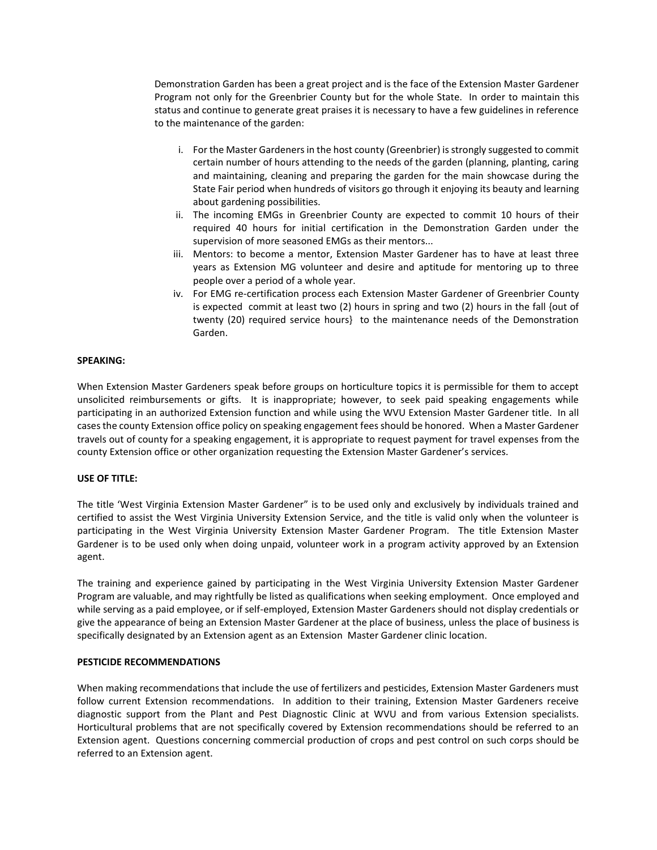Demonstration Garden has been a great project and is the face of the Extension Master Gardener Program not only for the Greenbrier County but for the whole State. In order to maintain this status and continue to generate great praises it is necessary to have a few guidelines in reference to the maintenance of the garden:

- i. For the Master Gardeners in the host county (Greenbrier) is strongly suggested to commit certain number of hours attending to the needs of the garden (planning, planting, caring and maintaining, cleaning and preparing the garden for the main showcase during the State Fair period when hundreds of visitors go through it enjoying its beauty and learning about gardening possibilities.
- ii. The incoming EMGs in Greenbrier County are expected to commit 10 hours of their required 40 hours for initial certification in the Demonstration Garden under the supervision of more seasoned EMGs as their mentors...
- iii. Mentors: to become a mentor, Extension Master Gardener has to have at least three years as Extension MG volunteer and desire and aptitude for mentoring up to three people over a period of a whole year.
- iv. For EMG re-certification process each Extension Master Gardener of Greenbrier County is expected commit at least two (2) hours in spring and two (2) hours in the fall {out of twenty (20) required service hours} to the maintenance needs of the Demonstration Garden.

# **SPEAKING:**

When Extension Master Gardeners speak before groups on horticulture topics it is permissible for them to accept unsolicited reimbursements or gifts. It is inappropriate; however, to seek paid speaking engagements while participating in an authorized Extension function and while using the WVU Extension Master Gardener title. In all cases the county Extension office policy on speaking engagement fees should be honored. When a Master Gardener travels out of county for a speaking engagement, it is appropriate to request payment for travel expenses from the county Extension office or other organization requesting the Extension Master Gardener's services.

#### **USE OF TITLE:**

The title 'West Virginia Extension Master Gardener" is to be used only and exclusively by individuals trained and certified to assist the West Virginia University Extension Service, and the title is valid only when the volunteer is participating in the West Virginia University Extension Master Gardener Program. The title Extension Master Gardener is to be used only when doing unpaid, volunteer work in a program activity approved by an Extension agent.

The training and experience gained by participating in the West Virginia University Extension Master Gardener Program are valuable, and may rightfully be listed as qualifications when seeking employment. Once employed and while serving as a paid employee, or if self-employed, Extension Master Gardeners should not display credentials or give the appearance of being an Extension Master Gardener at the place of business, unless the place of business is specifically designated by an Extension agent as an Extension Master Gardener clinic location.

### **PESTICIDE RECOMMENDATIONS**

When making recommendations that include the use of fertilizers and pesticides, Extension Master Gardeners must follow current Extension recommendations. In addition to their training, Extension Master Gardeners receive diagnostic support from the Plant and Pest Diagnostic Clinic at WVU and from various Extension specialists. Horticultural problems that are not specifically covered by Extension recommendations should be referred to an Extension agent. Questions concerning commercial production of crops and pest control on such corps should be referred to an Extension agent.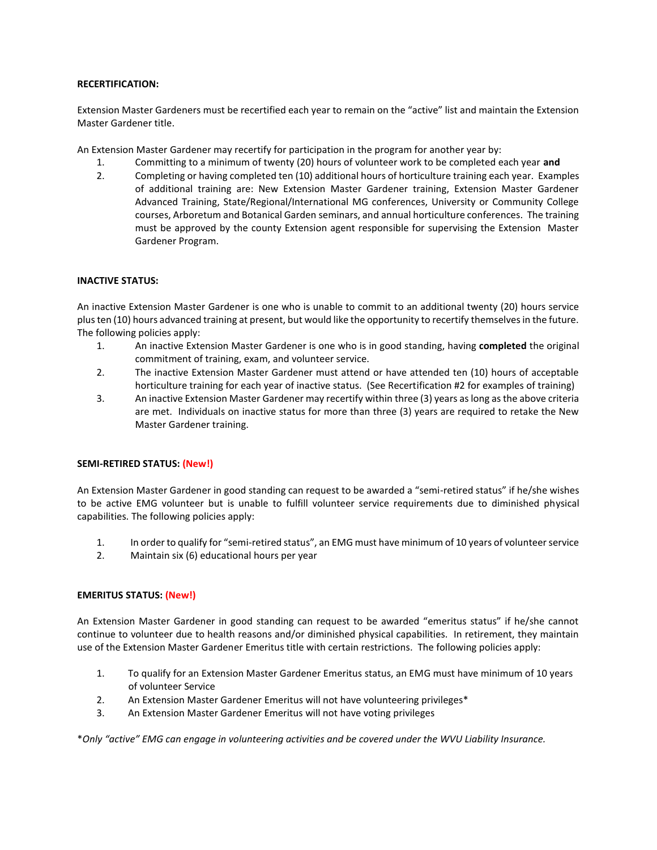# **RECERTIFICATION:**

Extension Master Gardeners must be recertified each year to remain on the "active" list and maintain the Extension Master Gardener title.

An Extension Master Gardener may recertify for participation in the program for another year by:

- 1. Committing to a minimum of twenty (20) hours of volunteer work to be completed each year **and**
- 2. Completing or having completed ten (10) additional hours of horticulture training each year. Examples of additional training are: New Extension Master Gardener training, Extension Master Gardener Advanced Training, State/Regional/International MG conferences, University or Community College courses, Arboretum and Botanical Garden seminars, and annual horticulture conferences. The training must be approved by the county Extension agent responsible for supervising the Extension Master Gardener Program.

# **INACTIVE STATUS:**

An inactive Extension Master Gardener is one who is unable to commit to an additional twenty (20) hours service plus ten (10) hours advanced training at present, but would like the opportunity to recertify themselves in the future. The following policies apply:

- 1. An inactive Extension Master Gardener is one who is in good standing, having **completed** the original commitment of training, exam, and volunteer service.
- 2. The inactive Extension Master Gardener must attend or have attended ten (10) hours of acceptable horticulture training for each year of inactive status. (See Recertification #2 for examples of training)
- 3. An inactive Extension Master Gardener may recertify within three (3) years as long as the above criteria are met. Individuals on inactive status for more than three (3) years are required to retake the New Master Gardener training.

# **SEMI-RETIRED STATUS: (New!)**

An Extension Master Gardener in good standing can request to be awarded a "semi-retired status" if he/she wishes to be active EMG volunteer but is unable to fulfill volunteer service requirements due to diminished physical capabilities. The following policies apply:

- 1. In order to qualify for "semi-retired status", an EMG must have minimum of 10 years of volunteer service
- 2. Maintain six (6) educational hours per year

#### **EMERITUS STATUS: (New!)**

An Extension Master Gardener in good standing can request to be awarded "emeritus status" if he/she cannot continue to volunteer due to health reasons and/or diminished physical capabilities. In retirement, they maintain use of the Extension Master Gardener Emeritus title with certain restrictions. The following policies apply:

- 1. To qualify for an Extension Master Gardener Emeritus status, an EMG must have minimum of 10 years of volunteer Service
- 2. An Extension Master Gardener Emeritus will not have volunteering privileges\*
- 3. An Extension Master Gardener Emeritus will not have voting privileges

\**Only "active" EMG can engage in volunteering activities and be covered under the WVU Liability Insurance.*